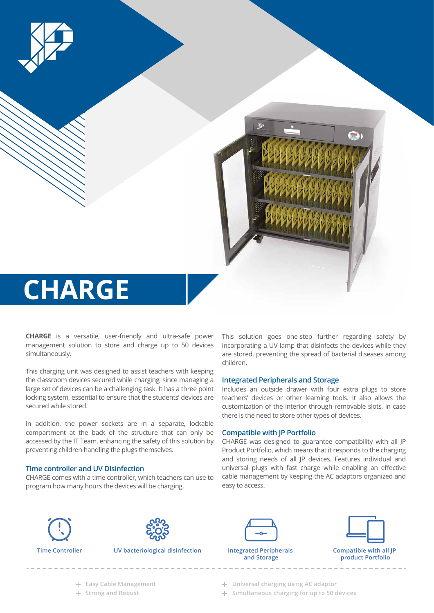

**CHARGE** is a versatile, user-friendly and ultra-safe power management solution to store and charge up to 50 devices simultaneously.

This charging unit was designed to assist teachers with keeping the classroom devices secured while charging, since managing a large set of devices can be a challenging task. It has a three point locking system, essential to ensure that the students' devices are secured while stored.

In addition, the power sockets are in a separate, lockable compartment at the back of the structure that can only be accessed by the IT Team, enhancing the safety of this solution by preventing children handling the plugs themselves.

## **Time controller and UV Disinfection**

CHARGE comes with a time controller, which teachers can use to program how many hours the devices will be charging.

This solution goes one-step further regarding safety by incorporating a UV lamp that disinfects the devices while they are stored, preventing the spread of bacterial diseases among children.

## **Integrated Peripherals and Storage**

Includes an outside drawer with four extra plugs to store teachers' devices or other learning tools. It also allows the customization of the interior through removable slots, in case there is the need to store other types of devices.

## **Compatible with JP Portfolio**

CHARGE was designed to guarantee compatibility with all JP Product Portfolio, which means that it responds to the charging and storing needs of all JP devices. Features individual and universal plugs with fast charge while enabling an effective cable management by keeping the AC adaptors organized and easy to access.





**UV bacteriological disinfection Integrated Peripherals** 



**and Storage**



- 
- **Easy Cable Management Universal charging using AC adaptor**
- **Strong and Robust Simultaneous charging for up to 50 devices**